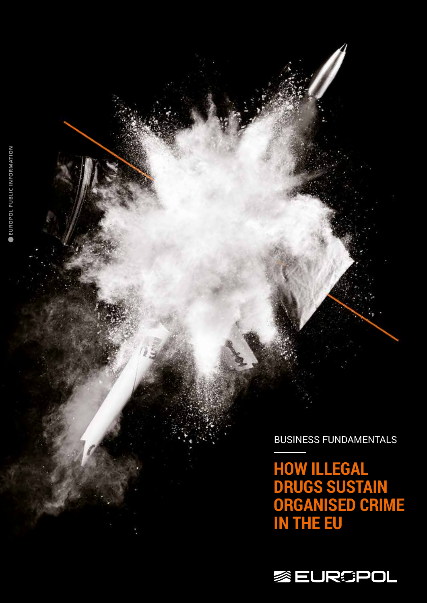BUSINESS FUNDAMENTALS

**HOW ILLEGAL DRUGS SUSTAIN ORGANISED CRIME IN THE EU**

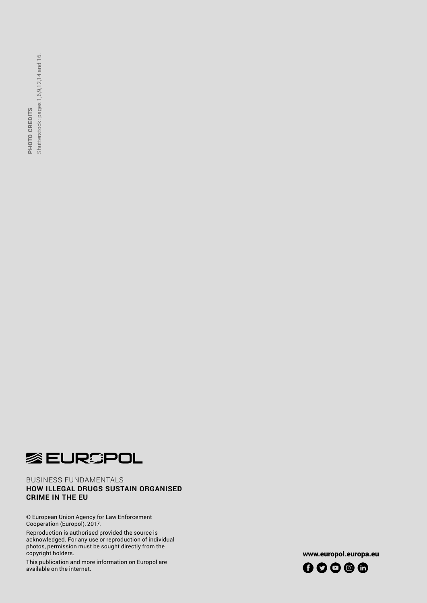Shutterstock: pages 1,6,9,12,14 and 16. **CRIME IN THE EU<br>CRIME IN THE EUR IN THE EURE OF SHUTTER SET UNDER SHUTTE CRIME IN THE EURE OF SHUTTER SET UNDER** PHOTO CREDITS



## BUSINESS FUNDAMENTALS **HOW ILLEGAL DRUGS SUSTAIN ORGANISED**

© European Union Agency for Law Enforcement Cooperation (Europol), 2017.

Reproduction is authorised provided the source is acknowledged. For any use or reproduction of individual photos, permission must be sought directly from the copyright holders.

This publication and more information on Europol are available on the internet.

www.europol.europa.eu

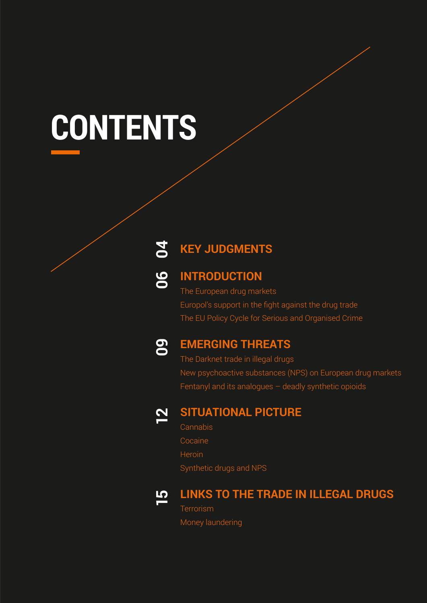# **CONTENTS**

#### **KEY JUDGMENTS 04**

## **06**

## **INTRODUCTION**

The European drug markets Europol's support in the fight against the drug trade The EU Policy Cycle for Serious and Organised Crime



## **EMERGING THREATS**

The Darknet trade in illegal drugs New psychoactive substances (NPS) on European drug markets Fentanyl and its analogues – deadly synthetic opioids



## **SITUATIONAL PICTURE**

**Cannabis** Cocaine Heroin Synthetic drugs and NPS



## **LINKS TO THE TRADE IN ILLEGAL DRUGS Terrorism**

Money laundering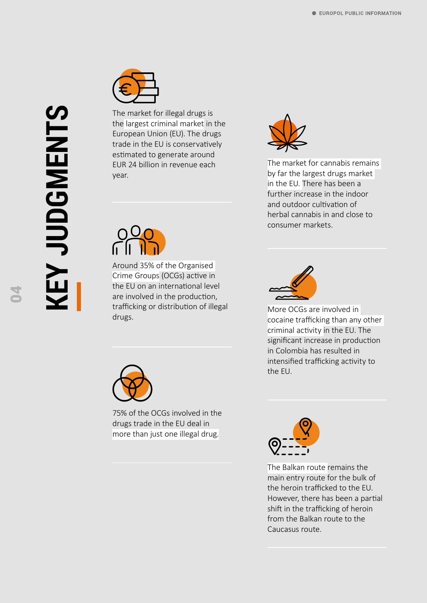

The market for illegal drugs is the largest criminal market in the European Union (EU). The drugs trade in the EU is conservatively estimated to generate around EUR 24 billion in revenue each year.



Around 35% of the Organised Crime Groups (OCGs) active in the EU on an international level are involved in the production, trafficking or distribution of illegal drugs.



75% of the OCGs involved in the drugs trade in the EU deal in more than just one illegal drug.



The market for cannabis remains by far the largest drugs market in the EU. There has been a further increase in the indoor and outdoor cultivation of herbal cannabis in and close to consumer markets.



More OCGs are involved in cocaine trafficking than any other criminal activity in the EU. The significant increase in production in Colombia has resulted in intensified trafficking activity to the EU.



The Balkan route remains the main entry route for the bulk of the heroin trafficked to the EU. However, there has been a partial shift in the trafficking of heroin from the Balkan route to the Caucasus route.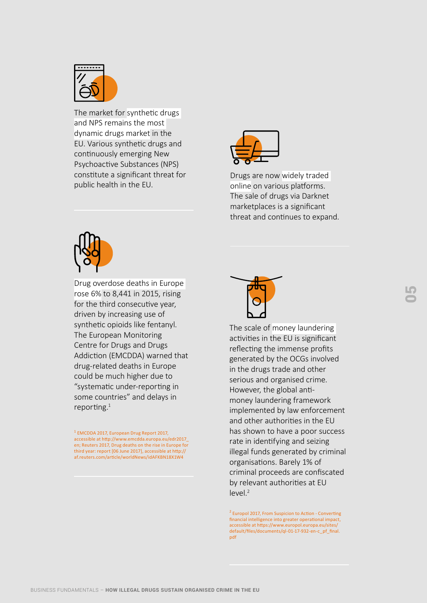

The market for synthetic drugs and NPS remains the most dynamic drugs market in the EU. Various synthetic drugs and continuously emerging New Psychoactive Substances (NPS) constitute a significant threat for public health in the EU.



Drugs are now widely traded online on various platforms. The sale of drugs via Darknet marketplaces is a significant threat and continues to expand.



Drug overdose deaths in Europe rose 6% to 8,441 in 2015, rising for the third consecutive year, driven by increasing use of synthetic opioids like fentanyl. The European Monitoring Centre for Drugs and Drugs Addiction (EMCDDA) warned that drug-related deaths in Europe could be much higher due to "systematic under-reporting in some countries" and delays in reporting. $1$ 

1 EMCDDA 2017, European Drug Report 2017, accessible at http://www.emcdda.europa.eu/edr2017\_ en; Reuters 2017, Drug deaths on the rise in Europe for third year: report [06 June 2017], accessible at http:// af.reuters.com/article/worldNews/idAFKBN18X1W4



The scale of money laundering activities in the EU is significant reflecting the immense profits generated by the OCGs involved in the drugs trade and other serious and organised crime. However, the global antimoney laundering framework implemented by law enforcement and other authorities in the EU has shown to have a poor success rate in identifying and seizing illegal funds generated by criminal organisations. Barely 1% of criminal proceeds are confiscated by relevant authorities at EU  $|PVP|$ <sup>2</sup>

<sup>2</sup> Europol 2017, From Suspicion to Action - Converting financial intelligence into greater operational impact, accessible at https://www.europol.europa.eu/sites/ default/files/documents/ql-01-17-932-en-c\_pf\_final. pdf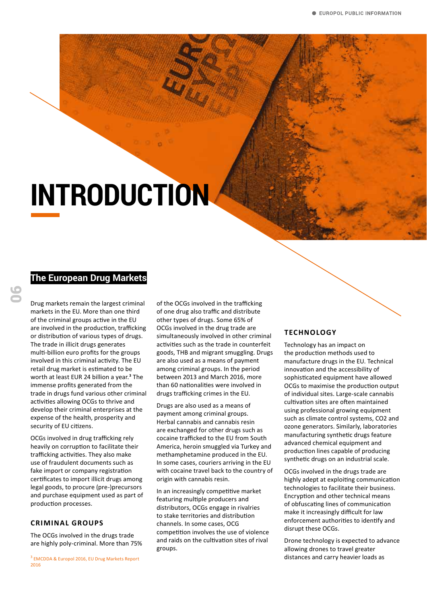## **INTRODUCTION**

## **The European Drug Markets**

06

Drug markets remain the largest criminal markets in the EU. More than one third of the criminal groups active in the EU are involved in the production, trafficking or distribution of various types of drugs. The trade in illicit drugs generates multi-billion euro profits for the groups involved in this criminal activity. The EU retail drug market is estimated to be worth at least EUR 24 billion a year.**<sup>3</sup>** The immense profits generated from the trade in drugs fund various other criminal activities allowing OCGs to thrive and develop their criminal enterprises at the expense of the health, prosperity and security of EU citizens.

OCGs involved in drug trafficking rely heavily on corruption to facilitate their trafficking activities. They also make use of fraudulent documents such as fake import or company registration certificates to import illicit drugs among legal goods, to procure (pre-)precursors and purchase equipment used as part of production processes.

#### **CRIMINAL GROUPS**

The OCGs involved in the drugs trade are highly poly-criminal. More than 75% of the OCGs involved in the trafficking of one drug also traffic and distribute other types of drugs. Some 65% of OCGs involved in the drug trade are simultaneously involved in other criminal activities such as the trade in counterfeit goods, THB and migrant smuggling. Drugs are also used as a means of payment among criminal groups. In the period between 2013 and March 2016, more than 60 nationalities were involved in drugs trafficking crimes in the EU.

Drugs are also used as a means of payment among criminal groups. Herbal cannabis and cannabis resin are exchanged for other drugs such as cocaine trafficked to the EU from South America, heroin smuggled via Turkey and methamphetamine produced in the EU. In some cases, couriers arriving in the EU with cocaine travel back to the country of origin with cannabis resin.

In an increasingly competitive market featuring multiple producers and distributors, OCGs engage in rivalries to stake territories and distribution channels. In some cases, OCG competition involves the use of violence and raids on the cultivation sites of rival groups.

#### **TECHNOLOGY**

Technology has an impact on the production methods used to manufacture drugs in the EU. Technical innovation and the accessibility of sophisticated equipment have allowed OCGs to maximise the production output of individual sites. Large-scale cannabis cultivation sites are often maintained using professional growing equipment such as climate control systems, CO2 and ozone generators. Similarly, laboratories manufacturing synthetic drugs feature advanced chemical equipment and production lines capable of producing synthetic drugs on an industrial scale.

OCGs involved in the drugs trade are highly adept at exploiting communication technologies to facilitate their business. Encryption and other technical means of obfuscating lines of communication make it increasingly difficult for law enforcement authorities to identify and disrupt these OCGs.

Drone technology is expected to advance allowing drones to travel greater distances and carry heavier loads as

<sup>&</sup>lt;sup>3</sup> EMCDDA & Europol 2016, EU Drug Markets Report 2016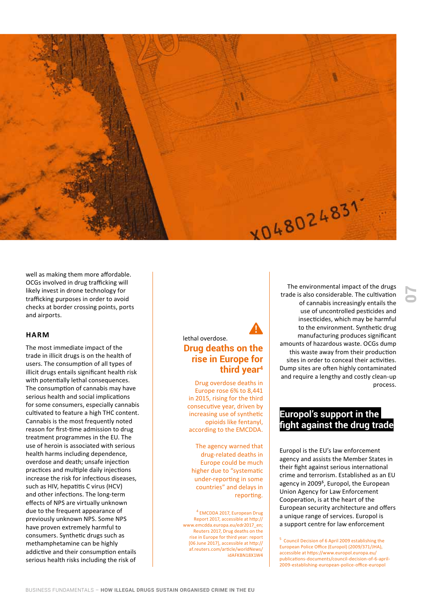

well as making them more affordable. OCGs involved in drug trafficking will likely invest in drone technology for trafficking purposes in order to avoid checks at border crossing points, ports and airports.

#### **HARM**

The most immediate impact of the trade in illicit drugs is on the health of users. The consumption of all types of illicit drugs entails significant health risk with potentially lethal consequences. The consumption of cannabis may have serious health and social implications for some consumers, especially cannabis cultivated to feature a high THC content. Cannabis is the most frequently noted reason for first-time admission to drug treatment programmes in the EU. The use of heroin is associated with serious health harms including dependence, overdose and death; unsafe injection practices and multiple daily injections increase the risk for infectious diseases, such as HIV, hepatitis C virus (HCV) and other infections. The long-term effects of NPS are virtually unknown due to the frequent appearance of previously unknown NPS. Some NPS have proven extremely harmful to consumers. Synthetic drugs such as methamphetamine can be highly addictive and their consumption entails serious health risks including the risk of

### lethal overdose. **Drug deaths on the rise in Europe for third year4**

Drug overdose deaths in Europe rose 6% to 8,441 in 2015, rising for the third consecutive year, driven by increasing use of synthetic opioids like fentanyl, according to the EMCDDA.

The agency warned that drug-related deaths in Europe could be much higher due to "systematic under-reporting in some countries" and delays in reporting.

4 EMCDDA 2017, European Drug Report 2017, accessible at http:// www.emcdda.europa.eu/edr2017\_en; Reuters 2017, Drug deaths on the rise in Europe for third year: report [06 June 2017], accessible at http:// af.reuters.com/article/worldNews/ idAFKBN18X1W4

The environmental impact of the drugs trade is also considerable. The cultivation of cannabis increasingly entails the use of uncontrolled pesticides and insecticides, which may be harmful to the environment. Synthetic drug manufacturing produces significant amounts of hazardous waste. OCGs dump this waste away from their production sites in order to conceal their activities. Dump sites are often highly contaminated and require a lengthy and costly clean-up process.

07

## **Europol's support in the fight against the drug trade**

Europol is the EU's law enforcement agency and assists the Member States in their fight against serious international crime and terrorism. Established as an EU agency in 2009**<sup>5</sup>** , Europol, the European Union Agency for Law Enforcement Cooperation, is at the heart of the European security architecture and offers a unique range of services. Europol is a support centre for law enforcement

5 Council Decision of 6 April 2009 establishing the European Police Office (Europol) (2009/371/JHA), accessible at https://www.europol.europa.eu/ publications-documents/council-decision-of-6-april-2009-establishing-european-police-office-europol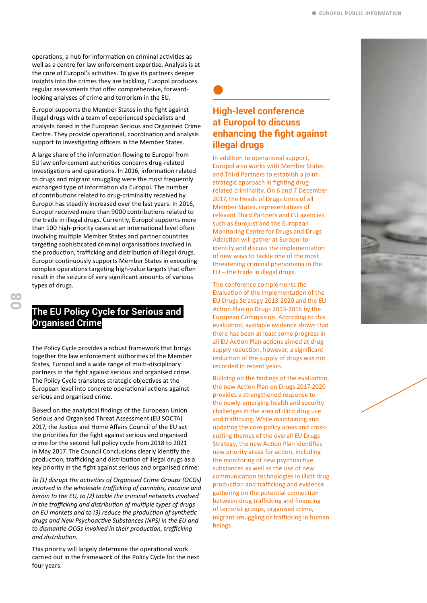operations, a hub for information on criminal activities as well as a centre for law enforcement expertise. Analysis is at the core of Europol's activities. To give its partners deeper insights into the crimes they are tackling, Europol produces regular assessments that offer comprehensive, forwardlooking analyses of crime and terrorism in the EU.

Europol supports the Member States in the fight against illegal drugs with a team of experienced specialists and analysts based in the European Serious and Organised Crime Centre. They provide operational, coordination and analysis support to investigating officers in the Member States.

A large share of the information flowing to Europol from EU law enforcement authorities concerns drug-related investigations and operations. In 2016, information related to drugs and migrant smuggling were the most frequently exchanged type of information via Europol. The number of contributions related to drug-criminality received by Europol has steadily increased over the last years. In 2016, Europol received more than 9000 contributions related to the trade in illegal drugs. Currently, Europol supports more than 100 high-priority cases at an international level often involving multiple Member States and partner countries targeting sophisticated criminal organisations involved in the production, trafficking and distribution of illegal drugs. Europol continuously supports Member States in executing complex operations targeting high-value targets that often result in the seizure of very significant amounts of various types of drugs.

## **The EU Policy Cycle for Serious and Organised Crime**

The Policy Cycle provides a robust framework that brings together the law enforcement authorities of the Member States, Europol and a wide range of multi-disciplinary partners in the fight against serious and organised crime. The Policy Cycle translates strategic objectives at the European level into concrete operational actions against serious and organised crime.

Based on the analytical findings of the European Union Serious and Organised Threat Assessment (EU SOCTA) 2017, the Justice and Home Affairs Council of the EU set the priorities for the fight against serious and organised crime for the second full policy cycle from 2018 to 2021 in May 2017. The Council Conclusions clearly identify the production, trafficking and distribution of illegal drugs as a key priority in the fight against serious and organised crime:

*To (1) disrupt the activities of Organised Crime Groups (OCGs) involved in the wholesale trafficking of cannabis, cocaine and heroin to the EU, to (2) tackle the criminal networks involved in the trafficking and distribution of multiple types of drugs on EU markets and to (3) reduce the production of synthetic drugs and New Psychoactive Substances (NPS) in the EU and to dismantle OCGs involved in their production, trafficking and distribution.*

This priority will largely determine the operational work carried out in the framework of the Policy Cycle for the next four years.

### **High-level conference at Europol to discuss enhancing the fight against illegal drugs**

In addition to operational support, Europol also works with Member States and Third Partners to establish a joint strategic approach in fighting drugrelated criminality. On 6 and 7 December 2017, the Heads of Drugs Units of all Member States, representatives of relevant Third Partners and EU agencies such as Eurojust and the European Monitoring Centre for Drugs and Drugs Addiction will gather at Europol to identify and discuss the implementation of new ways to tackle one of the most threatening criminal phenomena in the EU – the trade in illegal drugs.

The conference complements the Evaluation of the implementation of the EU Drugs Strategy 2013-2020 and the EU Action Plan on Drugs 2013-2016 by the European Commission. According to this evaluation, available evidence shows that there has been at least some progress in all EU Action Plan actions aimed at drug supply reduction, however, a significant reduction of the supply of drugs was not recorded in recent years.

Building on the findings of the evaluation, the new Action Plan on Drugs 2017-2020 provides a strengthened response to the newly-emerging health and security challenges in the area of illicit drug use and trafficking. While maintaining and updating the core policy areas and crosscutting themes of the overall EU Drugs Strategy, the new Action Plan identifies new priority areas for action, including the monitoring of new psychoactive substances as well as the use of new communication technologies in illicit drug production and trafficking and evidence gathering on the potential connection between drug trafficking and financing of terrorist groups, organised crime, migrant smuggling or trafficking in human beings.

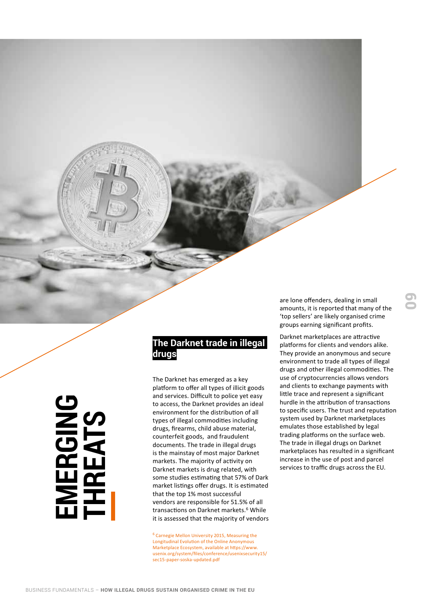## **The Darknet trade in illegal drugs**

The Darknet has emerged as a key platform to offer all types of illicit goods and services. Difficult to police yet easy to access, the Darknet provides an ideal environment for the distribution of all types of illegal commodities including drugs, firearms, child abuse material, counterfeit goods, and fraudulent documents. The trade in illegal drugs is the mainstay of most major Darknet markets. The majority of activity on Darknet markets is drug related, with some studies estimating that 57% of Dark market listings offer drugs. It is estimated that the top 1% most successful vendors are responsible for 51.5% of all transactions on Darknet markets.<sup>6</sup> While it is assessed that the majority of vendors FUNDAMENTALS – HOW ILLEGAL DRUGS SUSTAIN ORGANISED CRIME BUSINESS FUNDAMENTALS – HOW ILLEGAL DRUGS SUSTAIN ORGANISED CRIME EUSS FUNDAMENTALS – HOW ILLEGAL DRUGS SUSTAIN ORGANISED CRIME IN THE EUSS FUNDAMENTALS – HOW ILLEGA

<sup>6</sup> Carnegie Mellon University 2015, Measuring the Longitudinal Evolution of the Online Anonymous Marketplace Ecosystem, available at https://www. usenix.org/system/files/conference/usenixsecurity15/ sec15-paper-soska-updated.pdf

are lone offenders, dealing in small amounts, it is reported that many of the 'top sellers' are likely organised crime groups earning significant profits.

Darknet marketplaces are attractive platforms for clients and vendors alike. They provide an anonymous and secure environment to trade all types of illegal drugs and other illegal commodities. The use of cryptocurrencies allows vendors and clients to exchange payments with little trace and represent a significant hurdle in the attribution of transactions to specific users. The trust and reputation system used by Darknet marketplaces emulates those established by legal trading platforms on the surface web. The trade in illegal drugs on Darknet marketplaces has resulted in a significant increase in the use of post and parcel services to traffic drugs across the EU.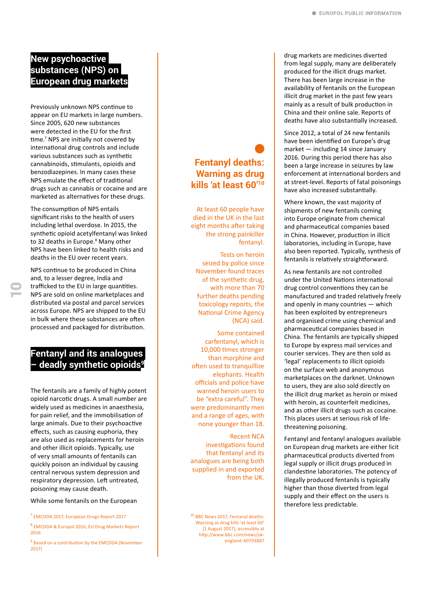## **New psychoactive substances (NPS) on European drug markets**

Previously unknown NPS continue to appear on EU markets in large numbers. Since 2005, 620 new substances were detected in the EU for the first time.<sup>7</sup> NPS are initially not covered by international drug controls and include various substances such as synthetic cannabinoids, stimulants, opioids and benzodiazepines. In many cases these NPS emulate the effect of traditional drugs such as cannabis or cocaine and are marketed as alternatives for these drugs.

The consumption of NPS entails significant risks to the health of users including lethal overdose. In 2015, the synthetic opioid acetylfentanyl was linked to 32 deaths in Europe.<sup>8</sup> Many other NPS have been linked to health risks and deaths in the EU over recent years.

NPS continue to be produced in China and, to a lesser degree, India and trafficked to the EU in large quantities. NPS are sold on online marketplaces and distributed via postal and parcel services across Europe. NPS are shipped to the EU in bulk where these substances are often processed and packaged for distribution.

## **Fentanyl and its analogues – deadly synthetic opioids9**

The fentanils are a family of highly potent opioid narcotic drugs. A small number are widely used as medicines in anaesthesia, for pain relief, and the immobilisation of large animals. Due to their psychoactive effects, such as causing euphoria, they are also used as replacements for heroin and other illicit opioids. Typically, use of very small amounts of fentanils can quickly poison an individual by causing central nervous system depression and respiratory depression. Left untreated, poisoning may cause death.

While some fentanils on the European

7 EMCDDA 2017, European Drugs Report 2017

8 EMCDDA & Europol 2016, EU Drug Markets Report 2016

<sup>9</sup> Based on a contribution by the EMCDDA (November 2017)

## **Fentanyl deaths: Warning as drug kills 'at least 60'10**

At least 60 people have died in the UK in the last eight months after taking the strong painkiller fentanyl.

Tests on heroin seized by police since November found traces of the synthetic drug, with more than 70 further deaths pending toxicology reports, the National Crime Agency (NCA) said.

Some contained carfentanyl, which is 10,000 times stronger than morphine and often used to tranquillize elephants. Health officials and police have warned heroin users to be "extra careful". They were predominantly men and a range of ages, with none younger than 18.

Recent NCA investigations found that fentanyl and its analogues are being both supplied in and exported from the UK.

<sup>10</sup> BBC News 2017, Fentanyl deaths: Warning as drug kills 'at least 60' [1 August 2017], accessible at http://www.bbc.com/news/ukengland-40793887

drug markets are medicines diverted from legal supply, many are deliberately produced for the illicit drugs market. There has been large increase in the availability of fentanils on the European illicit drug market in the past few years mainly as a result of bulk production in China and their online sale. Reports of deaths have also substantially increased.

Since 2012, a total of 24 new fentanils have been identified on Europe's drug market — including 14 since January 2016. During this period there has also been a large increase in seizures by law enforcement at international borders and at street-level. Reports of fatal poisonings have also increased substantially.

Where known, the vast majority of shipments of new fentanils coming into Europe originate from chemical and pharmaceutical companies based in China. However, production in illicit laboratories, including in Europe, have also been reported. Typically, synthesis of fentanils is relatively straightforward.

As new fentanils are not controlled under the United Nations international drug control conventions they can be manufactured and traded relatively freely and openly in many countries — which has been exploited by entrepreneurs and organised crime using chemical and pharmaceutical companies based in China. The fentanils are typically shipped to Europe by express mail services and courier services. They are then sold as 'legal' replacements to illicit opioids on the surface web and anonymous marketplaces on the darknet. Unknown to users, they are also sold directly on the illicit drug market as heroin or mixed with heroin, as counterfeit medicines, and as other illicit drugs such as cocaine. This places users at serious risk of lifethreatening poisoning.

Fentanyl and fentanyl analogues available on European drug markets are either licit pharmaceutical products diverted from legal supply or illicit drugs produced in clandestine laboratories. The potency of illegally produced fentanils is typically higher than those diverted from legal supply and their effect on the users is therefore less predictable.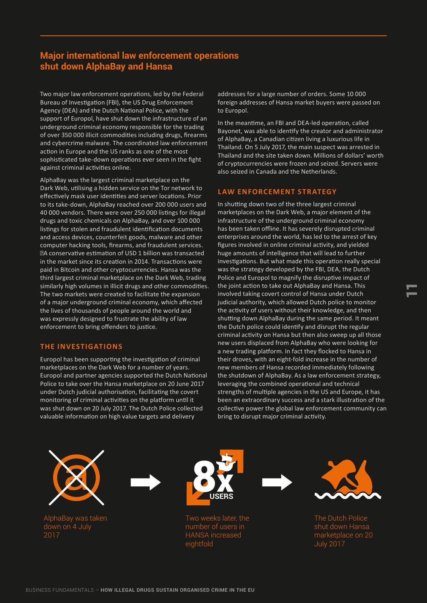## **Major international law enforcement operations shut down AlphaBay and Hansa**

Two major law enforcement operations, led by the Federal Bureau of Investigation (FBI), the US Drug Enforcement Agency (DEA) and the Dutch National Police, with the support of Europol, have shut down the infrastructure of an underground criminal economy responsible for the trading of over 350 000 illicit commodities including drugs, firearms and cybercrime malware. The coordinated law enforcement action in Europe and the US ranks as one of the most sophisticated take-down operations ever seen in the fight against criminal activities online.

AlphaBay was the largest criminal marketplace on the Dark Web, utilising a hidden service on the Tor network to effectively mask user identities and server locations. Prior to its take-down, AlphaBay reached over 200 000 users and 40 000 vendors. There were over 250 000 listings for illegal drugs and toxic chemicals on AlphaBay, and over 100 000 listings for stolen and fraudulent identification documents and access devices, counterfeit goods, malware and other computer hacking tools, firearms, and fraudulent services. A conservative estimation of USD 1 billion was transacted in the market since its creation in 2014. Transactions were paid in Bitcoin and other cryptocurrencies. Hansa was the third largest criminal marketplace on the Dark Web, trading similarly high volumes in illicit drugs and other commodities. The two markets were created to facilitate the expansion of a major underground criminal economy, which affected the lives of thousands of people around the world and was expressly designed to frustrate the ability of law enforcement to bring offenders to justice.

#### **THE INVESTIGATIONS**

Europol has been supporting the investigation of criminal marketplaces on the Dark Web for a number of years. Europol and partner agencies supported the Dutch National Police to take over the Hansa marketplace on 20 June 2017 under Dutch judicial authorisation, facilitating the covert monitoring of criminal activities on the platform until it was shut down on 20 July 2017. The Dutch Police collected valuable information on high value targets and delivery

addresses for a large number of orders. Some 10 000 foreign addresses of Hansa market buyers were passed on to Europol.

In the meantime, an FBI and DEA-led operation, called Bayonet, was able to identify the creator and administrator of AlphaBay, a Canadian citizen living a luxurious life in Thailand. On 5 July 2017, the main suspect was arrested in Thailand and the site taken down. Millions of dollars' worth of cryptocurrencies were frozen and seized. Servers were also seized in Canada and the Netherlands.

#### **LAW ENFORCEMENT STRATEGY**

In shutting down two of the three largest criminal marketplaces on the Dark Web, a major element of the infrastructure of the underground criminal economy has been taken offline. It has severely disrupted criminal enterprises around the world, has led to the arrest of key figures involved in online criminal activity, and yielded huge amounts of intelligence that will lead to further investigations. But what made this operation really special was the strategy developed by the FBI, DEA, the Dutch Police and Europol to magnify the disruptive impact of the joint action to take out AlphaBay and Hansa. This involved taking covert control of Hansa under Dutch judicial authority, which allowed Dutch police to monitor the activity of users without their knowledge, and then shutting down AlphaBay during the same period. It meant the Dutch police could identify and disrupt the regular criminal activity on Hansa but then also sweep up all those new users displaced from AlphaBay who were looking for a new trading platform. In fact they flocked to Hansa in their droves, with an eight-fold increase in the number of new members of Hansa recorded immediately following the shutdown of AlphaBay. As a law enforcement strategy, leveraging the combined operational and technical strengths of multiple agencies in the US and Europe, it has been an extraordinary success and a stark illustration of the collective power the global law enforcement community can bring to disrupt major criminal activity.

AlphaBay was taken down on 4 July 2017





number of users in HANSA increased eightfold





11

The Dutch Police shut down Hansa marketplace on 20 July 2017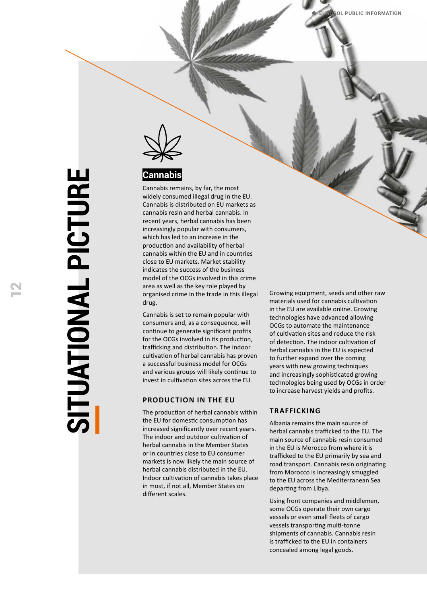

## **Cannabis**

Cannabis remains, by far, the most widely consumed illegal drug in the EU. Cannabis is distributed on EU markets as cannabis resin and herbal cannabis. In recent years, herbal cannabis has been increasingly popular with consumers, which has led to an increase in the production and availability of herbal cannabis within the EU and in countries close to EU markets. Market stability indicates the success of the business model of the OCGs involved in this crime area as well as the key role played by organised crime in the trade in this illegal drug.

Cannabis is set to remain popular with consumers and, as a consequence, will continue to generate significant profits for the OCGs involved in its production, trafficking and distribution. The indoor cultivation of herbal cannabis has proven a successful business model for OCGs and various groups will likely continue to invest in cultivation sites across the EU.

#### **PRODUCTION IN THE EU**

The production of herbal cannabis within the EU for domestic consumption has increased significantly over recent years. The indoor and outdoor cultivation of herbal cannabis in the Member States or in countries close to EU consumer markets is now likely the main source of herbal cannabis distributed in the EU. Indoor cultivation of cannabis takes place in most, if not all, Member States on different scales.

Growing equipment, seeds and other raw materials used for cannabis cultivation in the EU are available online. Growing technologies have advanced allowing OCGs to automate the maintenance of cultivation sites and reduce the risk of detection. The indoor cultivation of herbal cannabis in the EU is expected to further expand over the coming years with new growing techniques and increasingly sophisticated growing technologies being used by OCGs in order to increase harvest yields and profits.

#### **TRAFFICKING**

Albania remains the main source of herbal cannabis trafficked to the EU. The main source of cannabis resin consumed in the EU is Morocco from where it is trafficked to the EU primarily by sea and road transport. Cannabis resin originating from Morocco is increasingly smuggled to the EU across the Mediterranean Sea departing from Libya.

Using front companies and middlemen, some OCGs operate their own cargo vessels or even small fleets of cargo vessels transporting multi-tonne shipments of cannabis. Cannabis resin is trafficked to the EU in containers concealed among legal goods.

**SITUATIONAL PICTURE SITUATIONAL PICTURE**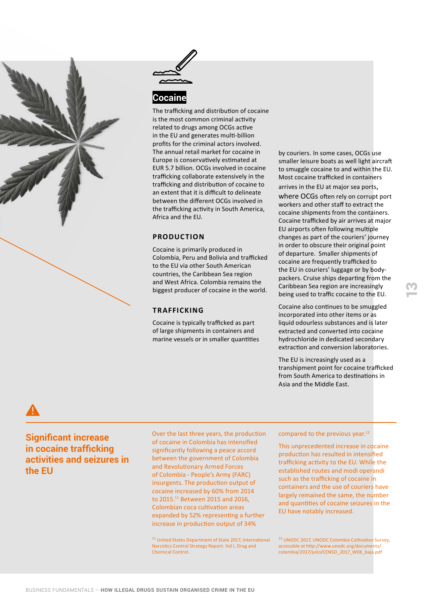



#### **Cocaine**

The trafficking and distribution of cocaine is the most common criminal activity related to drugs among OCGs active in the EU and generates multi-billion profits for the criminal actors involved. The annual retail market for cocaine in Europe is conservatively estimated at EUR 5.7 billion. OCGs involved in cocaine trafficking collaborate extensively in the trafficking and distribution of cocaine to an extent that it is difficult to delineate between the different OCGs involved in the trafficking activity in South America, Africa and the EU.

#### **PRODUCTION**

Cocaine is primarily produced in Colombia, Peru and Bolivia and trafficked to the EU via other South American countries, the Caribbean Sea region and West Africa. Colombia remains the biggest producer of cocaine in the world.

#### **TRAFFICKING**

Cocaine is typically trafficked as part of large shipments in containers and marine vessels or in smaller quantities by couriers. In some cases, OCGs use smaller leisure boats as well light aircraft to smuggle cocaine to and within the EU. Most cocaine trafficked in containers arrives in the EU at major sea ports, where OCGs often rely on corrupt port workers and other staff to extract the cocaine shipments from the containers. Cocaine trafficked by air arrives at major EU airports often following multiple changes as part of the couriers' journey in order to obscure their original point of departure. Smaller shipments of cocaine are frequently trafficked to the EU in couriers' luggage or by bodypackers. Cruise ships departing from the Caribbean Sea region are increasingly being used to traffic cocaine to the EU.

Cocaine also continues to be smuggled incorporated into other items or as liquid odourless substances and is later extracted and converted into cocaine hydrochloride in dedicated secondary extraction and conversion laboratories. <u>ო</u>

The EU is increasingly used as a transhipment point for cocaine trafficked from South America to destinations in Asia and the Middle East.

**Significant increase in cocaine trafficking activities and seizures in the EU**

Over the last three years, the production of cocaine in Colombia has intensified significantly following a peace accord between the government of Colombia and Revolutionary Armed Forces of Colombia - People's Army (FARC) insurgents. The production output of cocaine increased by 60% from 2014 to 2015.<sup>11</sup> Between 2015 and 2016, Colombian coca cultivation areas expanded by 52% representing a further increase in production output of 34%

<sup>11</sup> United States Department of State 2017, International Narcotics Control Strategy Report. Vol I, Drug and Chemical Control.

#### compared to the previous year.<sup>12</sup>

This unprecedented increase in cocaine production has resulted in intensified trafficking activity to the EU. While the established routes and modi operandi such as the trafficking of cocaine in containers and the use of couriers have largely remained the same, the number and quantities of cocaine seizures in the EU have notably increased.

<sup>12</sup> UNODC 2017, UNODC Colombia Cultivation Survey, accessible at http://www.unodc.org/documents/ colombia/2017/julio/CENSO\_2017\_WEB\_baja.pdf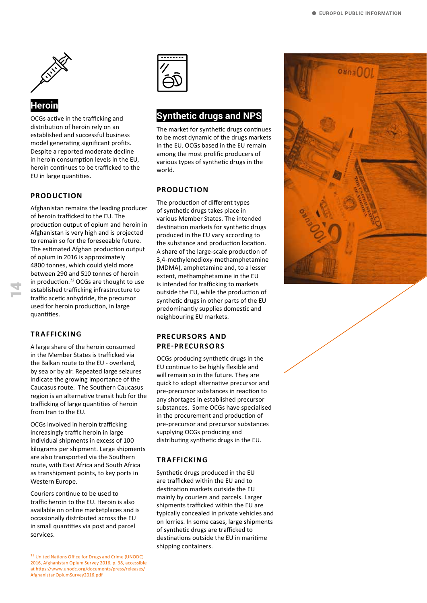

OCGs active in the trafficking and distribution of heroin rely on an established and successful business model generating significant profits. Despite a reported moderate decline in heroin consumption levels in the EU, heroin continues to be trafficked to the EU in large quantities.

#### **PRODUCTION**

Afghanistan remains the leading producer of heroin trafficked to the EU. The production output of opium and heroin in Afghanistan is very high and is projected to remain so for the foreseeable future. The estimated Afghan production output of opium in 2016 is approximately 4800 tonnes, which could yield more between 290 and 510 tonnes of heroin in production.*<sup>13</sup>* OCGs are thought to use established trafficking infrastructure to traffic acetic anhydride, the precursor used for heroin production, in large quantities.

#### **TRAFFICKING**

14

A large share of the heroin consumed in the Member States is trafficked via the Balkan route to the EU - overland, by sea or by air. Repeated large seizures indicate the growing importance of the Caucasus route. The Southern Caucasus region is an alternative transit hub for the trafficking of large quantities of heroin from Iran to the EU.

OCGs involved in heroin trafficking increasingly traffic heroin in large individual shipments in excess of 100 kilograms per shipment. Large shipments are also transported via the Southern route, with East Africa and South Africa as transhipment points, to key ports in Western Europe.

Couriers continue to be used to traffic heroin to the EU. Heroin is also available on online marketplaces and is occasionally distributed across the EU in small quantities via post and parcel services.



## **Synthetic drugs and NPS**

The market for synthetic drugs continues to be most dynamic of the drugs markets in the EU. OCGs based in the EU remain among the most prolific producers of various types of synthetic drugs in the world.

#### **PRODUCTION**

The production of different types of synthetic drugs takes place in various Member States. The intended destination markets for synthetic drugs produced in the EU vary according to the substance and production location. A share of the large-scale production of 3,4-methylenedioxy-methamphetamine (MDMA), amphetamine and, to a lesser extent, methamphetamine in the EU is intended for trafficking to markets outside the EU, while the production of synthetic drugs in other parts of the EU predominantly supplies domestic and neighbouring EU markets.

#### **PRECURSORS AND PRE-PRECURSORS**

OCGs producing synthetic drugs in the EU continue to be highly flexible and will remain so in the future. They are quick to adopt alternative precursor and pre-precursor substances in reaction to any shortages in established precursor substances. Some OCGs have specialised in the procurement and production of pre-precursor and precursor substances supplying OCGs producing and distributing synthetic drugs in the EU.

#### **TRAFFICKING**

Synthetic drugs produced in the EU are trafficked within the EU and to destination markets outside the EU mainly by couriers and parcels. Larger shipments trafficked within the EU are typically concealed in private vehicles and on lorries. In some cases, large shipments of synthetic drugs are trafficked to destinations outside the EU in maritime shipping containers.

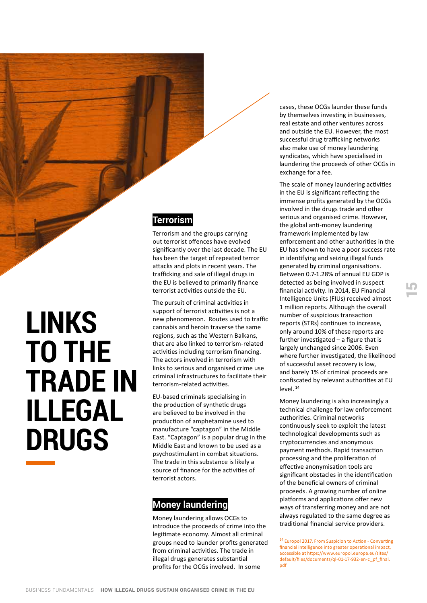## **LINKS TO THE TRADE IN ILLEGAL DRUGS**

## **Terrorism**

Terrorism and the groups carrying out terrorist offences have evolved significantly over the last decade. The EU has been the target of repeated terror attacks and plots in recent years. The trafficking and sale of illegal drugs in the EU is believed to primarily finance terrorist activities outside the EU.

The pursuit of criminal activities in support of terrorist activities is not a new phenomenon. Routes used to traffic cannabis and heroin traverse the same regions, such as the Western Balkans, that are also linked to terrorism-related activities including terrorism financing. The actors involved in terrorism with links to serious and organised crime use criminal infrastructures to facilitate their terrorism-related activities.

EU-based criminals specialising in the production of synthetic drugs are believed to be involved in the production of amphetamine used to manufacture "captagon" in the Middle East. "Captagon" is a popular drug in the Middle East and known to be used as a psychostimulant in combat situations. The trade in this substance is likely a source of finance for the activities of terrorist actors.

## **Money laundering**

Money laundering allows OCGs to introduce the proceeds of crime into the legitimate economy. Almost all criminal groups need to launder profits generated from criminal activities. The trade in illegal drugs generates substantial profits for the OCGs involved. In some

cases, these OCGs launder these funds by themselves investing in businesses, real estate and other ventures across and outside the EU. However, the most successful drug trafficking networks also make use of money laundering syndicates, which have specialised in laundering the proceeds of other OCGs in exchange for a fee.

The scale of money laundering activities in the EU is significant reflecting the immense profits generated by the OCGs involved in the drugs trade and other serious and organised crime. However, the global anti-money laundering framework implemented by law enforcement and other authorities in the EU has shown to have a poor success rate in identifying and seizing illegal funds generated by criminal organisations. Between 0.7-1.28% of annual EU GDP is detected as being involved in suspect financial activity. In 2014, EU Financial Intelligence Units (FIUs) received almost 1 million reports. Although the overall number of suspicious transaction reports (STRs) continues to increase, only around 10% of these reports are further investigated – a figure that is largely unchanged since 2006. Even where further investigated, the likelihood of successful asset recovery is low, and barely 1% of criminal proceeds are confiscated by relevant authorities at EU level. <sup>14</sup>

Money laundering is also increasingly a technical challenge for law enforcement authorities. Criminal networks continuously seek to exploit the latest technological developments such as cryptocurrencies and anonymous payment methods. Rapid transaction processing and the proliferation of effective anonymisation tools are significant obstacles in the identification of the beneficial owners of criminal proceeds. A growing number of online platforms and applications offer new ways of transferring money and are not always regulated to the same degree as traditional financial service providers.

14 Europol 2017, From Suspicion to Action - Converting financial intelligence into greater operational impact, accessible at https://www.europol.europa.eu/sites/ default/files/documents/ql-01-17-932-en-c\_pf\_final. pdf